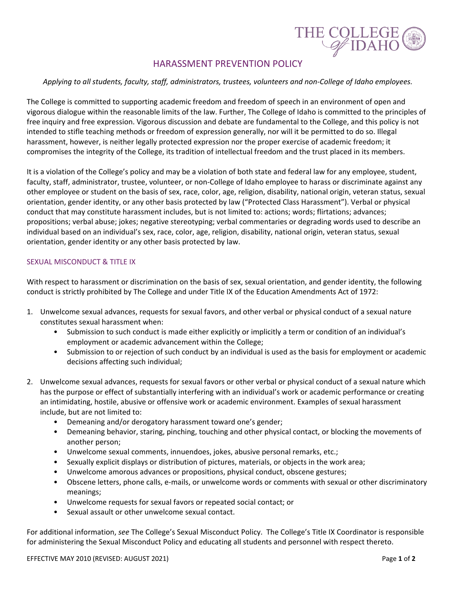

# HARASSMENT PREVENTION POLICY

### *Applying to all students, faculty, staff, administrators, trustees, volunteers and non-College of Idaho employees.*

The College is committed to supporting academic freedom and freedom of speech in an environment of open and vigorous dialogue within the reasonable limits of the law. Further, The College of Idaho is committed to the principles of free inquiry and free expression. Vigorous discussion and debate are fundamental to the College, and this policy is not intended to stifle teaching methods or freedom of expression generally, nor will it be permitted to do so. Illegal harassment, however, is neither legally protected expression nor the proper exercise of academic freedom; it compromises the integrity of the College, its tradition of intellectual freedom and the trust placed in its members.

It is a violation of the College's policy and may be a violation of both state and federal law for any employee, student, faculty, staff, administrator, trustee, volunteer, or non-College of Idaho employee to harass or discriminate against any other employee or student on the basis of sex, race, color, age, religion, disability, national origin, veteran status, sexual orientation, gender identity, or any other basis protected by law ("Protected Class Harassment"). Verbal or physical conduct that may constitute harassment includes, but is not limited to: actions; words; flirtations; advances; propositions; verbal abuse; jokes; negative stereotyping; verbal commentaries or degrading words used to describe an individual based on an individual's sex, race, color, age, religion, disability, national origin, veteran status, sexual orientation, gender identity or any other basis protected by law.

## SEXUAL MISCONDUCT & TITLE IX

With respect to harassment or discrimination on the basis of sex, sexual orientation, and gender identity, the following conduct is strictly prohibited by The College and under Title IX of the Education Amendments Act of 1972:

- 1. Unwelcome sexual advances, requests for sexual favors, and other verbal or physical conduct of a sexual nature constitutes sexual harassment when:
	- Submission to such conduct is made either explicitly or implicitly a term or condition of an individual's employment or academic advancement within the College;
	- Submission to or rejection of such conduct by an individual is used as the basis for employment or academic decisions affecting such individual;
- 2. Unwelcome sexual advances, requests for sexual favors or other verbal or physical conduct of a sexual nature which has the purpose or effect of substantially interfering with an individual's work or academic performance or creating an intimidating, hostile, abusive or offensive work or academic environment. Examples of sexual harassment include, but are not limited to:
	- Demeaning and/or derogatory harassment toward one's gender;
	- Demeaning behavior, staring, pinching, touching and other physical contact, or blocking the movements of another person;
	- Unwelcome sexual comments, innuendoes, jokes, abusive personal remarks, etc.;
	- Sexually explicit displays or distribution of pictures, materials, or objects in the work area;
	- Unwelcome amorous advances or propositions, physical conduct, obscene gestures;
	- Obscene letters, phone calls, e-mails, or unwelcome words or comments with sexual or other discriminatory meanings;
	- Unwelcome requests for sexual favors or repeated social contact; or
	- Sexual assault or other unwelcome sexual contact.

For additional information, *see* The College's Sexual Misconduct Policy. The College's Title IX Coordinator is responsible for administering the Sexual Misconduct Policy and educating all students and personnel with respect thereto.